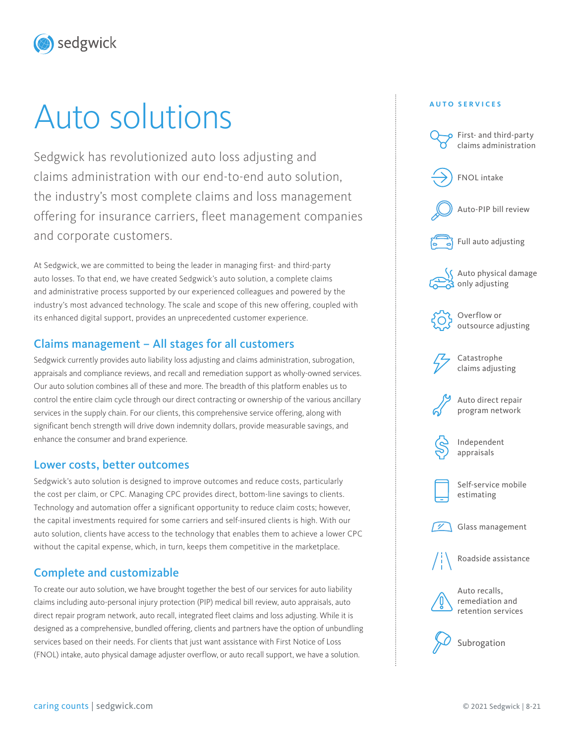sedgwick

# Auto solutions

Sedgwick has revolutionized auto loss adjusting and claims administration with our end-to-end auto solution, the industry's most complete claims and loss management offering for insurance carriers, fleet management companies and corporate customers.

At Sedgwick, we are committed to being the leader in managing first- and third-party auto losses. To that end, we have created Sedgwick's auto solution, a complete claims and administrative process supported by our experienced colleagues and powered by the industry's most advanced technology. The scale and scope of this new offering, coupled with its enhanced digital support, provides an unprecedented customer experience.

## Claims management – All stages for all customers

Sedgwick currently provides auto liability loss adjusting and claims administration, subrogation, appraisals and compliance reviews, and recall and remediation support as wholly-owned services. Our auto solution combines all of these and more. The breadth of this platform enables us to control the entire claim cycle through our direct contracting or ownership of the various ancillary services in the supply chain. For our clients, this comprehensive service offering, along with significant bench strength will drive down indemnity dollars, provide measurable savings, and enhance the consumer and brand experience.

## Lower costs, better outcomes

Sedgwick's auto solution is designed to improve outcomes and reduce costs, particularly the cost per claim, or CPC. Managing CPC provides direct, bottom-line savings to clients. Technology and automation offer a significant opportunity to reduce claim costs; however, the capital investments required for some carriers and self-insured clients is high. With our auto solution, clients have access to the technology that enables them to achieve a lower CPC without the capital expense, which, in turn, keeps them competitive in the marketplace.

## Complete and customizable

To create our auto solution, we have brought together the best of our services for auto liability claims including auto-personal injury protection (PIP) medical bill review, auto appraisals, auto direct repair program network, auto recall, integrated fleet claims and loss adjusting. While it is designed as a comprehensive, bundled offering, clients and partners have the option of unbundling services based on their needs. For clients that just want assistance with First Notice of Loss (FNOL) intake, auto physical damage adjuster overflow, or auto recall support, we have a solution.

#### **AUTO SERVICES**